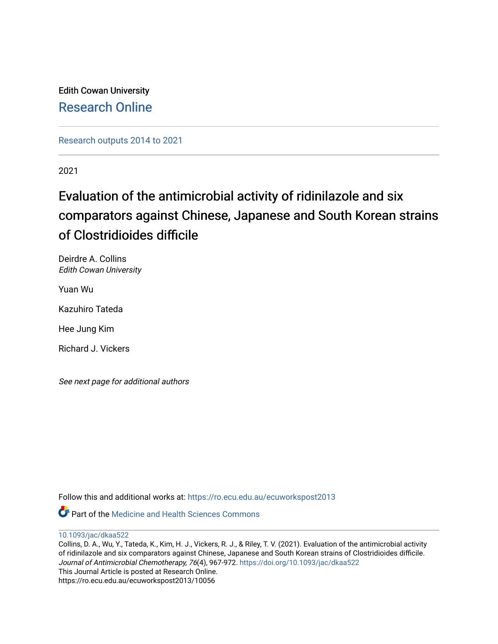Edith Cowan University [Research Online](https://ro.ecu.edu.au/) 

[Research outputs 2014 to 2021](https://ro.ecu.edu.au/ecuworkspost2013) 

2021

# Evaluation of the antimicrobial activity of ridinilazole and six comparators against Chinese, Japanese and South Korean strains of Clostridioides difficile

Deirdre A. Collins Edith Cowan University

Yuan Wu

Kazuhiro Tateda

Hee Jung Kim

Richard J. Vickers

See next page for additional authors

Follow this and additional works at: [https://ro.ecu.edu.au/ecuworkspost2013](https://ro.ecu.edu.au/ecuworkspost2013?utm_source=ro.ecu.edu.au%2Fecuworkspost2013%2F10056&utm_medium=PDF&utm_campaign=PDFCoverPages) 

Part of the [Medicine and Health Sciences Commons](http://network.bepress.com/hgg/discipline/648?utm_source=ro.ecu.edu.au%2Fecuworkspost2013%2F10056&utm_medium=PDF&utm_campaign=PDFCoverPages) 

[10.1093/jac/dkaa522](http://dx.doi.org/10.1093/jac/dkaa522)

Collins, D. A., Wu, Y., Tateda, K., Kim, H. J., Vickers, R. J., & Riley, T. V. (2021). Evaluation of the antimicrobial activity of ridinilazole and six comparators against Chinese, Japanese and South Korean strains of Clostridioides difficile. Journal of Antimicrobial Chemotherapy, 76(4), 967-972. <https://doi.org/10.1093/jac/dkaa522> This Journal Article is posted at Research Online. https://ro.ecu.edu.au/ecuworkspost2013/10056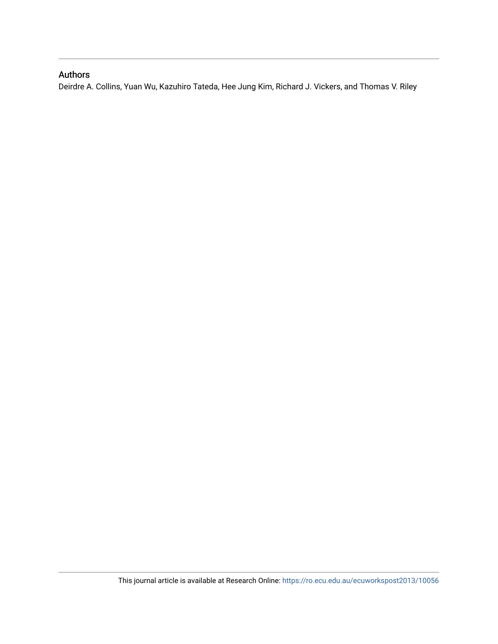### Authors

Deirdre A. Collins, Yuan Wu, Kazuhiro Tateda, Hee Jung Kim, Richard J. Vickers, and Thomas V. Riley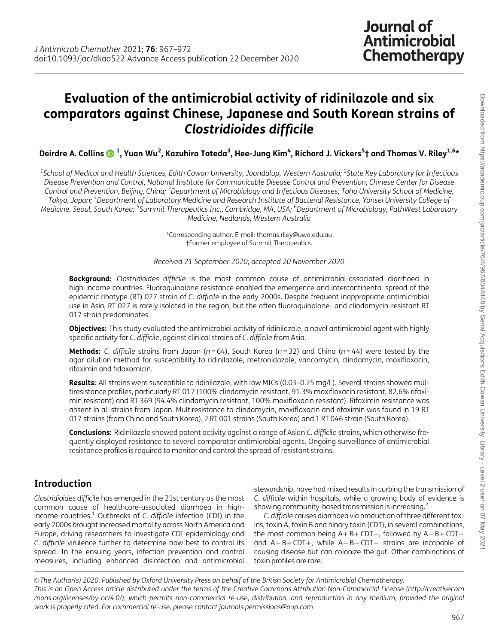## <span id="page-2-0"></span>Evaluation of the antimicrobial activity of ridinilazole and six comparators against Chinese, Japanese and South Korean strains of Clostridioides difficile

Deirdre A. Collins ���� 1, Yuan Wu<sup>2</sup>, Kazuhiro Tateda<sup>3</sup>, Hee-Jung Kim<sup>4</sup>, Richard J. Vickers<sup>5</sup>† and Thomas V. Riley<sup>1,6</sup>\*

 $^{\rm 1}$ School of Medical and Health Sciences, Edith Cowan University, Joondalup, Western Australia;  $^{\rm 2}$ State Key Laboratory for Infectious Disease Prevention and Control, National Institute for Communicable Disease Control and Prevention, Chinese Center for Disease Control and Prevention, Beijing, China; <sup>3</sup>Department of Microbiology and Infectious Diseases, Toho University School of Medicine, Tokyo, Japan; <sup>4</sup>Department of Laboratory Medicine and Research Institute of Bacterial Resistance, Yonsei University College of Medicine, Seoul, South Korea; <sup>5</sup>Summit Therapeutics Inc., Cambridge, MA, USA; <sup>6</sup>Department of Microbiology, PathWest Laboratory Medicine, Nedlands, Western Australia

> \*Corresponding author. E-mail: thomas.riley@uwa.edu.au †Former employee of Summit Therapeutics.

Received 21 September 2020; accepted 20 November 2020

Background: Clostridioides difficile is the most common cause of antimicrobial-associated diarrhoea in high-income countries. Fluoroquinolone resistance enabled the emergence and intercontinental spread of the epidemic ribotype (RT) 027 strain of C. difficile in the early 2000s. Despite frequent inappropriate antimicrobial use in Asia, RT 027 is rarely isolated in the region, but the often fluoroquinolone- and clindamycin-resistant RT 017 strain predominates.

Objectives: This study evaluated the antimicrobial activity of ridinilazole, a novel antimicrobial agent with highly specific activity for C. difficile, against clinical strains of C. difficile from Asia.

Methods: C. difficile strains from Japan ( $n = 64$ ), South Korea ( $n = 32$ ) and China ( $n = 44$ ) were tested by the agar dilution method for susceptibility to ridinilazole, metronidazole, vancomycin, clindamycin, moxifloxacin, rifaximin and fidaxomicin.

Results: All strains were susceptible to ridinilazole, with low MICs (0.03-0.25 mg/L). Several strains showed multiresistance profiles, particularly RT 017 (100% clindamycin resistant, 91.3% moxifloxacin resistant, 82.6% rifaximin resistant) and RT 369 (94.4% clindamycin resistant, 100% moxifloxacin resistant). Rifaximin resistance was absent in all strains from Japan. Multiresistance to clindamycin, moxifloxacin and rifaximin was found in 19 RT 017 strains (from China and South Korea), 2 RT 001 strains (South Korea) and 1 RT 046 strain (South Korea).

Conclusions: Ridinilazole showed potent activity against a range of Asian C. difficile strains, which otherwise frequently displayed resistance to several comparator antimicrobial agents. Ongoing surveillance of antimicrobial resistance profiles is required to monitor and control the spread of resistant strains.

## Introduction

Clostridioides difficile has emerged in the 21st century as the most common cause of healthcare-associated diarrhoea in high-income countries.<sup>[1](#page-6-0)</sup> Outbreaks of C. difficile infection (CDI) in the early 2000s brought increased mortality across North America and Europe, driving researchers to investigate CDI epidemiology and C. difficile virulence further to determine how best to control its spread. In the ensuing years, infection prevention and control measures, including enhanced disinfection and antimicrobial

stewardship, have had mixed results in curbing the transmission of C. difficile within hospitals, while a growing body of evidence is showing community-based transmission is increasing[.2](#page-6-0)

C. difficile causes diarrhoea via production of three different toxins, toxin A, toxin B and binary toxin (CDT), in several combinations, the most common being  $A + B + CDT -$ , followed by  $A - B + CDT$ and  $A + B + CDT +$ , while  $A - B - CDT -$  strains are incapable of causing disease but can colonize the gut. Other combinations of toxin profiles are rare.

V<sup>C</sup> The Author(s) 2020. Published by Oxford University Press on behalf of the British Society for Antimicrobial Chemotherapy. This is an Open Access article distributed under the terms of the Creative Commons Attribution Non-Commercial License (http://creativecom mons.org/licenses/by-nc/4.0/), which permits non-commercial re-use, distribution, and reproduction in any medium, provided the original work is properly cited. For commercial re-use, please contact journals.permissions@oup.com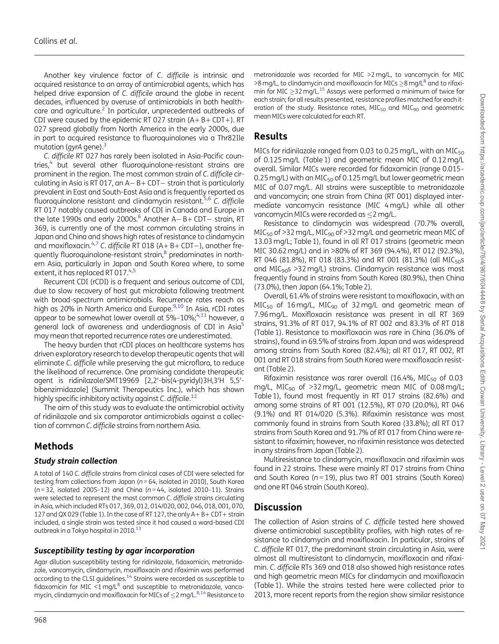<span id="page-3-0"></span>Another key virulence factor of C. difficile is intrinsic and acquired resistance to an array of antimicrobial agents, which has helped drive expansion of C. difficile around the globe in recent decades, influenced by overuse of antimicrobials in both healthcare and agriculture.<sup>2</sup> In particular, unprecedented outbreaks of CDI were caused by the epidemic RT 027 strain  $(A + B + CDT+)$ . RT 027 spread globally from North America in the early 2000s, due in part to acquired resistance to fluoroquinolones via a Thr82Ile mutation (gyrA gene). $3$ 

C. difficile RT 027 has rarely been isolated in Asia-Pacific coun-tries,<sup>[4](#page-6-0)</sup> but several other fluoroquinolone-resistant strains are prominent in the region. The most common strain of C. difficile circulating in Asia is RT 017, an  $A - B + CDT -$  strain that is particularly prevalent in East and South-East Asia and is frequently reported as fluoroquinolone resistant and clindamycin resistant.<sup>5,6</sup> C. difficile RT 017 notably caused outbreaks of CDI in Canada and Europe in the late 1990s and early 2000s. $^6$  Another A – B + CDT – strain, RT 369, is currently one of the most common circulating strains in Japan and China and shows high rates of resistance to clindamycin and moxifloxacin.<sup>[4,7](#page-6-0)</sup> C. difficile RT 018 (A + B + CDT –), another frequently fluoroquinolone-resistant strain, $\frac{8}{3}$  predominates in northern Asia, particularly in Japan and South Korea where, to some extent, it has replaced RT 017.[4,5](#page-6-0)

Recurrent CDI (rCDI) is a frequent and serious outcome of CDI, due to slow recovery of host gut microbiota following treatment with broad-spectrum antimicrobials. Recurrence rates reach as high as 20% in North America and Europe.<sup>9,[10](#page-7-0)</sup> In Asia, rCDI rates appear to be somewhat lower overall at  $5\% - 10\%$ ;  $4.11$  however, a general lack of awareness and underdiagnosis of CDI in Asia<sup>5</sup> may mean that reported recurrence rates are underestimated.

The heavy burden that rCDI places on healthcare systems has driven exploratory research to develop therapeutic agents that will eliminate C. difficile while preserving the gut microflora, to reduce the likelihood of recurrence. One promising candidate therapeutic agent is ridinilazole/SMT19969 [2,2'-bis(4-pyridyl)3H,3'H 5,5'bibenzimidazole] (Summit Therapeutics Inc.), which has shown highly specific inhibitory activity against C. difficile.<sup>[12](#page-7-0)</sup>

The aim of this study was to evaluate the antimicrobial activity of ridinilazole and six comparator antimicrobials against a collection of common C. difficile strains from northern Asia.

## Methods

#### Study strain collection

A total of 140 C. difficile strains from clinical cases of CDI were selected for testing from collections from Japan ( $n = 64$ , isolated in 2010), South Korea  $(n=32,$  isolated 2005-12) and China  $(n=44,$  isolated 2010-11). Strains were selected to represent the most common C. difficile strains circulating in Asia, which included RTs 017, 369, 012, 014/020, 002, 046, 018, 001, 070, [1](#page-4-0)27 and QX 029 (Table 1). In the case of RT 127, the only  $A + B + CDT +$  strain included, a single strain was tested since it had caused a ward-based CDI outbreak in a Tokyo hospital in 2010.<sup>[13](#page-7-0)</sup>

#### Susceptibility testing by agar incorporation

Agar dilution susceptibility testing for ridinilazole, fidaxomicin, metronidazole, vancomycin, clindamycin, moxifloxacin and rifaximin was performed according to the CLSI guidelines[.14](#page-7-0) Strains were recorded as susceptible to fidaxomicin for MIC  $\leq 1$  mg/L $^8$  and susceptible to metronidazole, vancomycin, clindamycin and moxifloxacin for MICs of  $\leq$  2 mg/L. $^{8,14}$  $^{8,14}$  $^{8,14}$  Resistance to

#### Results

MICs for ridinilazole ranged from 0.03 to 0.25 mg/L, with an MIC $_{50}$ of 0.125 mg/L (Table [1\)](#page-4-0) and geometric mean MIC of 0.12 mg/L overall. Similar MICs were recorded for fidaxomicin (range 0.015– 0.25 mg/L) with an MIC $_{50}$  of 0.125 mg/L but lower geometric mean MIC of 0.07 mg/L. All strains were susceptible to metronidazole and vancomycin; one strain from China (RT 001) displayed intermediate vancomycin resistance (MIC 4 mg/L) while all other vancomycin MICs were recorded as  $\leq$ 2 mg/L.

Resistance to clindamycin was widespread (70.7% overall,  $MIC<sub>50</sub>$  of >32 mg/L, MIC<sub>90</sub> of >32 mg/L and geometric mean MIC of 13.03 mg/L; Table [1\)](#page-4-0), found in all RT 017 strains (geometric mean MIC 30.62 mg/L) and in >80% of RT 369 (94.4%), RT 012 (92.3%), RT 046 (81.8%), RT 018 (83.3%) and RT 001 (81.3%) (all MIC<sub>50</sub>s and  $MIC<sub>90</sub>s > 32 mg/L$ ) strains. Clindamycin resistance was most frequently found in strains from South Korea (80.9%), then China (73.0%), then Japan (64.1%; Table [2\)](#page-6-0).

Overall, 61.4% of strains were resistant to moxifloxacin, with an MIC<sub>50</sub> of 16 mg/L, MIC<sub>90</sub> of 32 mg/L and geometric mean of 7.96 mg/L. Moxifloxacin resistance was present in all RT 369 strains, 91.3% of RT 017, 94.1% of RT 002 and 83.3% of RT 018 (Table [1\)](#page-4-0). Resistance to moxifloxacin was rare in China (36.0% of strains), found in 69.5% of strains from Japan and was widespread among strains from South Korea (82.4%); all RT 017, RT 002, RT 001 and RT 018 strains from South Korea were moxifloxacin resistant (Table [2\)](#page-6-0).

Rifaximin resistance was rarer overall (16.4%, MIC $_{50}$  of 0.03 mg/L, MIC<sub>90</sub> of >32 mg/L, geometric mean MIC of 0.08 mg/L; Table [1\)](#page-4-0), found most frequently in RT 017 strains (82.6%) and among some strains of RT 001 (12.5%), RT 070 (20.0%), RT 046 (9.1%) and RT 014/020 (5.3%). Rifaximin resistance was most commonly found in strains from South Korea (33.8%); all RT 017 strains from South Korea and 91.7% of RT 017 from China were resistant to rifaximin; however, no rifaximin resistance was detected in any strains from Japan (Table [2\)](#page-6-0).

Multiresistance to clindamycin, moxifloxacin and rifaximin was found in 22 strains. These were mainly RT 017 strains from China and South Korea ( $n = 19$ ), plus two RT 001 strains (South Korea) and one RT 046 strain (South Korea).

## **Discussion**

The collection of Asian strains of C. difficile tested here showed diverse antimicrobial susceptibility profiles, with high rates of resistance to clindamycin and moxifloxacin. In particular, strains of C. difficile RT 017, the predominant strain circulating in Asia, were almost all multiresistant to clindamycin, moxifloxacin and rifaximin. C. difficile RTs 369 and 018 also showed high resistance rates and high geometric mean MICs for clindamycin and moxifloxacin (Table [1\)](#page-4-0). While the strains tested here were collected prior to 2013, more recent reports from the region show similar resistance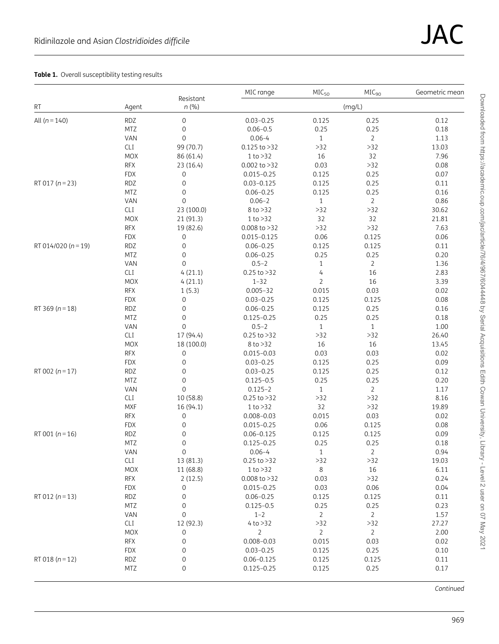#### <span id="page-4-0"></span>Table 1. Overall susceptibility testing results

|                         |            |                       | MIC range        | MIC <sub>50</sub> | MIC <sub>90</sub> | Geometric mean |  |  |
|-------------------------|------------|-----------------------|------------------|-------------------|-------------------|----------------|--|--|
| <b>RT</b>               | Agent      | Resistant<br>n(%)     | (mg/L)           |                   |                   |                |  |  |
| All $(n = 140)$         | <b>RDZ</b> | 0                     | $0.03 - 0.25$    | 0.125             | 0.25              | 0.12           |  |  |
|                         | <b>MTZ</b> | $\boldsymbol{0}$      | $0.06 - 0.5$     | 0.25              | 0.25              | 0.18           |  |  |
|                         | VAN        | $\mathbf{0}$          | $0.06 - 4$       | $\mathbf{1}$      | $\overline{2}$    | 1.13           |  |  |
|                         | CLI        | 99 (70.7)             | $0.125$ to $>32$ | $>32$             | $>32$             | 13.03          |  |  |
|                         | <b>MOX</b> | 86 (61.4)             | 1 to > 32        | 16                | 32                | 7.96           |  |  |
|                         | <b>RFX</b> | 23 (16.4)             | $0.002$ to $>32$ | 0.03              | $>32$             | 0.08           |  |  |
|                         | <b>FDX</b> | $\mathbf 0$           | $0.015 - 0.25$   | 0.125             | 0.25              | 0.07           |  |  |
| RT 017 ( $n = 23$ )     | <b>RDZ</b> | $\boldsymbol{0}$      | $0.03 - 0.125$   | 0.125             | 0.25              | 0.11           |  |  |
|                         | MTZ        | $\mbox{O}$            | $0.06 - 0.25$    | 0.125             | 0.25              | 0.16           |  |  |
|                         | VAN        | $\mathbf 0$           | $0.06 - 2$       | $\mathbf{1}$      | $\overline{2}$    | 0.86           |  |  |
|                         | <b>CLI</b> | 23 (100.0)            | 8 to >32         | $>32$             | $>32$             | 30.62          |  |  |
|                         | <b>MOX</b> | 21 (91.3)             | 1 to >32         | 32                | 32                | 21.81          |  |  |
|                         | <b>RFX</b> | 19 (82.6)             | $0.008$ to $>32$ | $>32$             | $>32$             | 7.63           |  |  |
|                         | <b>FDX</b> | $\mathbf 0$           | $0.015 - 0.125$  | 0.06              | 0.125             | 0.06           |  |  |
| RT 014/020 ( $n = 19$ ) | <b>RDZ</b> | $\boldsymbol{0}$      | $0.06 - 0.25$    | 0.125             | 0.125             | 0.11           |  |  |
|                         | <b>MTZ</b> | $\mathbf 0$           | $0.06 - 0.25$    | 0.25              | 0.25              | 0.20           |  |  |
|                         | VAN        | $\mathbf 0$           | $0.5 - 2$        | $\,1\,$           | $\overline{2}$    | 1.36           |  |  |
|                         | <b>CLI</b> | 4(21.1)               | $0.25$ to $>32$  | $\overline{4}$    | 16                | 2.83           |  |  |
|                         | <b>MOX</b> | 4(21.1)               | $1 - 32$         | $\overline{2}$    | 16                | 3.39           |  |  |
|                         | <b>RFX</b> | 1(5.3)                | $0.005 - 32$     | 0.015             | 0.03              | 0.02           |  |  |
|                         | <b>FDX</b> | $\boldsymbol{0}$      | $0.03 - 0.25$    | 0.125             | 0.125             | 0.08           |  |  |
| RT 369 ( $n = 18$ )     | <b>RDZ</b> | $\boldsymbol{0}$      | $0.06 - 0.25$    | 0.125             | 0.25              | 0.16           |  |  |
|                         | <b>MTZ</b> | $\boldsymbol{0}$      | $0.125 - 0.25$   | 0.25              | 0.25              | 0.18           |  |  |
|                         | VAN        | $\mathbf 0$           | $0.5 - 2$        | $\mathbf{1}$      | $\mathbf{1}$      | 1.00           |  |  |
|                         | CLI        | 17 (94.4)             | $0.25$ to $>32$  | $>32$             | $>32$             | 26.40          |  |  |
|                         | <b>MOX</b> | 18 (100.0)            | 8 to >32         | 16                | 16                | 13.45          |  |  |
|                         | <b>RFX</b> | $\,0\,$               | $0.015 - 0.03$   | 0.03              | 0.03              | 0.02           |  |  |
|                         | <b>FDX</b> | $\boldsymbol{0}$      | $0.03 - 0.25$    | 0.125             | 0.25              | 0.09           |  |  |
| RT 002 ( $n = 17$ )     | <b>RDZ</b> | $\boldsymbol{0}$      | $0.03 - 0.25$    | 0.125             | 0.25              | 0.12           |  |  |
|                         | MTZ        | $\mathbf 0$           | $0.125 - 0.5$    | 0.25              | 0.25              | 0.20           |  |  |
|                         | VAN        | $\overline{0}$        | $0.125 - 2$      | $\mathbf{1}$      | $\overline{2}$    | 1.17           |  |  |
|                         | <b>CLI</b> | 10 (58.8)             | $0.25$ to $>32$  | $>32$             | $>32$             | 8.16           |  |  |
|                         | <b>MXF</b> | 16 (94.1)             | 1 to >32         | 32                | $>32$             | 19.89          |  |  |
|                         | <b>RFX</b> | $\mathbf 0$           | $0.008 - 0.03$   | 0.015             | 0.03              | 0.02           |  |  |
|                         | <b>FDX</b> | $\boldsymbol{0}$      | $0.015 - 0.25$   | 0.06              | 0.125             | 0.08           |  |  |
| RT 001 ( $n = 16$ )     | <b>RDZ</b> | $\boldsymbol{0}$      | $0.06 - 0.125$   | 0.125             | 0.125             | 0.09           |  |  |
|                         | MTZ        | $\mathbf 0$           | $0.125 - 0.25$   | 0.25              | 0.25              | 0.18           |  |  |
|                         | VAN        | 0                     | $0.06 - 4$       | 1                 | 2                 | 0.94           |  |  |
|                         | CLI        | 13 (81.3)             | $0.25$ to $>32$  | $>32$             | $>32$             | 19.03          |  |  |
|                         | MOX        | 11 (68.8)             | 1 to >32         | 8                 | 16                | 6.11           |  |  |
|                         | <b>RFX</b> | 2(12.5)               | $0.008$ to $>32$ | 0.03              | $>32$             | 0.24           |  |  |
|                         | <b>FDX</b> | $\mathbf 0$           | $0.015 - 0.25$   | 0.03              | 0.06              | 0.04           |  |  |
| RT 012 ( $n = 13$ )     | RDZ        | $\mathbf 0$           | $0.06 - 0.25$    | 0.125             | 0.125             | 0.11           |  |  |
|                         | MTZ        | $\mathbf 0$           | $0.125 - 0.5$    | 0.25              | 0.25              | 0.23           |  |  |
|                         | VAN        | $\mathbf 0$           | $1 - 2$          | $\overline{2}$    | $\overline{2}$    | 1.57           |  |  |
|                         | CLI        | 12 (92.3)             | 4 to > 32        | $>32$             | $>32$             | 27.27          |  |  |
|                         | <b>MOX</b> |                       | $\overline{2}$   | $\overline{2}$    | $\overline{2}$    | 2.00           |  |  |
|                         | <b>RFX</b> | 0<br>$\boldsymbol{0}$ | $0.008 - 0.03$   | 0.015             | 0.03              | 0.02           |  |  |
|                         |            | $\mathbf 0$           |                  |                   |                   |                |  |  |
|                         | <b>FDX</b> |                       | $0.03 - 0.25$    | 0.125             | 0.25              | 0.10           |  |  |
| RT 018 ( $n = 12$ )     | <b>RDZ</b> | $\mathbf 0$           | $0.06 - 0.125$   | 0.125             | 0.125             | 0.11           |  |  |
|                         | MTZ        | 0                     | $0.125 - 0.25$   | 0.125             | 0.25              | 0.17           |  |  |

Continued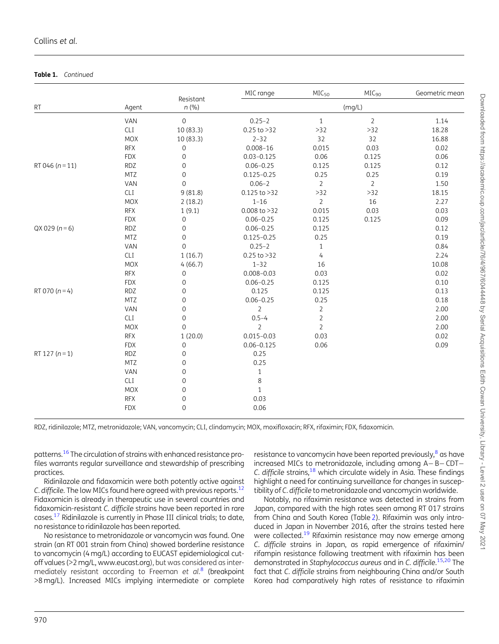#### <span id="page-5-0"></span>Table 1. Continued

|                     |            | Resistant           | MIC range        | MIC <sub>50</sub> | MIC <sub>90</sub> | Geometric mean |  |  |
|---------------------|------------|---------------------|------------------|-------------------|-------------------|----------------|--|--|
| RT                  | Agent      | n(%)                | (mg/L)           |                   |                   |                |  |  |
|                     | VAN        | $\mathsf{O}\xspace$ | $0.25 - 2$       | $\,1\,$           | $\overline{2}$    | 1.14           |  |  |
|                     | CLI        | 10(83.3)            | $0.25$ to $>32$  | $>32$             | $>32$             | 18.28          |  |  |
|                     | <b>MOX</b> | 10 (83.3)           | $2 - 32$         | 32                | 32                | 16.88          |  |  |
|                     | <b>RFX</b> | $\boldsymbol{0}$    | $0.008 - 16$     | 0.015             | 0.03              | 0.02           |  |  |
|                     | <b>FDX</b> | $\mathbf 0$         | $0.03 - 0.125$   | 0.06              | 0.125             | 0.06           |  |  |
| RT 046 ( $n = 11$ ) | <b>RDZ</b> | $\mathbf 0$         | $0.06 - 0.25$    | 0.125             | 0.125             | 0.12           |  |  |
|                     | <b>MTZ</b> | $\mathbf 0$         | $0.125 - 0.25$   | 0.25              | 0.25              | 0.19           |  |  |
|                     | VAN        | $\mathsf{O}\xspace$ | $0.06 - 2$       | $\overline{2}$    | $\overline{2}$    | 1.50           |  |  |
|                     | CLI        | 9(81.8)             | $0.125$ to $>32$ | $>32$             | $>32$             | 18.15          |  |  |
|                     | <b>MOX</b> | 2(18.2)             | $1 - 16$         | $\overline{2}$    | 16                | 2.27           |  |  |
|                     | <b>RFX</b> | 1(9.1)              | $0.008$ to $>32$ | 0.015             | 0.03              | 0.03           |  |  |
|                     | <b>FDX</b> | $\mathsf{O}\xspace$ | $0.06 - 0.25$    | 0.125             | 0.125             | 0.09           |  |  |
| $QX 029 (n=6)$      | <b>RDZ</b> | $\mathbf 0$         | $0.06 - 0.25$    | 0.125             |                   | 0.12           |  |  |
|                     | <b>MTZ</b> | $\mathbf 0$         | $0.125 - 0.25$   | 0.25              |                   | 0.19           |  |  |
|                     | VAN        | $\mathsf{O}\xspace$ | $0.25 - 2$       | $\mathbf{1}$      |                   | 0.84           |  |  |
|                     | CLI        | 1(16.7)             | $0.25$ to $>32$  | $\overline{4}$    |                   | 2.24           |  |  |
|                     | <b>MOX</b> | 4(66.7)             | $1 - 32$         | 16                |                   | 10.08          |  |  |
|                     | <b>RFX</b> | $\mathsf{O}\xspace$ | $0.008 - 0.03$   | 0.03              |                   | 0.02           |  |  |
|                     | <b>FDX</b> | $\mathsf{O}\xspace$ | $0.06 - 0.25$    | 0.125             |                   | 0.10           |  |  |
| RT 070 ( $n = 4$ )  | <b>RDZ</b> | $\mathsf{O}\xspace$ | 0.125            | 0.125             |                   | 0.13           |  |  |
|                     | <b>MTZ</b> | $\mathsf{O}\xspace$ | $0.06 - 0.25$    | 0.25              |                   | 0.18           |  |  |
|                     | VAN        | $\mathsf{O}\xspace$ | 2                | $\overline{2}$    |                   | 2.00           |  |  |
|                     | <b>CLI</b> | $\mathsf{O}\xspace$ | $0.5 - 4$        | $\overline{2}$    |                   | 2.00           |  |  |
|                     | <b>MOX</b> | $\mathsf{O}\xspace$ | $\overline{2}$   | $\overline{2}$    |                   | 2.00           |  |  |
|                     | <b>RFX</b> | 1(20.0)             | $0.015 - 0.03$   | 0.03              |                   | 0.02           |  |  |
|                     | <b>FDX</b> | $\mathsf{O}\xspace$ | $0.06 - 0.125$   | 0.06              |                   | 0.09           |  |  |
| RT 127 ( $n = 1$ )  | <b>RDZ</b> | $\mathsf{O}\xspace$ | 0.25             |                   |                   |                |  |  |
|                     | <b>MTZ</b> | $\mathsf{O}\xspace$ | 0.25             |                   |                   |                |  |  |
|                     | VAN        | $\mathbf 0$         | $\mathbf{1}$     |                   |                   |                |  |  |
|                     | CLI        | $\mathbf 0$         | $\,8\,$          |                   |                   |                |  |  |
|                     | <b>MOX</b> | $\mathbf 0$         | $\mathbf{1}$     |                   |                   |                |  |  |
|                     | <b>RFX</b> | $\mathsf{O}\xspace$ | 0.03             |                   |                   |                |  |  |
|                     | <b>FDX</b> | $\mathsf{O}\xspace$ | 0.06             |                   |                   |                |  |  |

RDZ, ridinilazole; MTZ, metronidazole; VAN, vancomycin; CLI, clindamycin; MOX, moxifloxacin; RFX, rifaximin; FDX, fidaxomicin.

patterns[.16](#page-7-0) The circulation of strains with enhanced resistance profiles warrants regular surveillance and stewardship of prescribing practices.

Ridinilazole and fidaxomicin were both potently active against C. difficile. The low MICs found here agreed with previous reports.<sup>12</sup> Fidaxomicin is already in therapeutic use in several countries and fidaxomicin-resistant C. difficile strains have been reported in rare cases.[17](#page-7-0) Ridinilazole is currently in Phase III clinical trials; to date, no resistance to ridinilazole has been reported.

No resistance to metronidazole or vancomycin was found. One strain (an RT 001 strain from China) showed borderline resistance to vancomycin (4 mg/L) according to EUCAST epidemiological cutoff values (>2 mg/L, [www.eucast.org](http://www.eucast.org)), but was considered as inter-mediately resistant according to Freeman et al.<sup>[8](#page-6-0)</sup> (breakpoint >8 mg/L). Increased MICs implying intermediate or complete

resistance to vancomycin have been reported previously, $8$  as have increased MICs to metronidazole, including among  $A - B - CDT -$ C. difficile strains, $18$  which circulate widely in Asia. These findings highlight a need for continuing surveillance for changes in susceptibility of C. difficile to metronidazole and vancomycin worldwide.

Notably, no rifaximin resistance was detected in strains from Japan, compared with the high rates seen among RT 017 strains from China and South Korea (Table [2](#page-6-0)). Rifaximin was only introduced in Japan in November 2016, after the strains tested here were collected.<sup>[19](#page-7-0)</sup> Rifaximin resistance may now emerge among C. difficile strains in Japan, as rapid emergence of rifaximin/ rifampin resistance following treatment with rifaximin has been demonstrated in Staphylococcus aureus and in C. difficile.<sup>[15,20](#page-7-0)</sup> The fact that C. difficile strains from neighbouring China and/or South Korea had comparatively high rates of resistance to rifaximin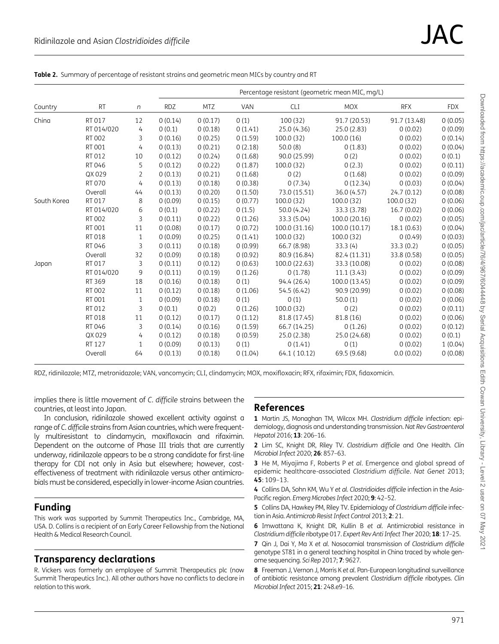<span id="page-6-0"></span>

|  | Table 2. Summary of percentage of resistant strains and geometric mean MICs by country and RT |  |  |  |
|--|-----------------------------------------------------------------------------------------------|--|--|--|
|  |                                                                                               |  |  |  |

|             |            |                | Percentage resistant (geometric mean MIC, mg/L) |            |            |               |               |              |            |  |
|-------------|------------|----------------|-------------------------------------------------|------------|------------|---------------|---------------|--------------|------------|--|
| Country     | <b>RT</b>  | n              | <b>RDZ</b>                                      | <b>MTZ</b> | <b>VAN</b> | <b>CLI</b>    | <b>MOX</b>    | <b>RFX</b>   | <b>FDX</b> |  |
| China       | RT 017     | 12             | 0(0.14)                                         | 0(0.17)    | 0(1)       | 100(32)       | 91.7 (20.53)  | 91.7 (13.48) | 0(0.05)    |  |
|             | RT 014/020 | 4              | 0(0.1)                                          | 0(0.18)    | 0(1.41)    | 25.0 (4.36)   | 25.0 (2.83)   | 0(0.02)      | 0(0.09)    |  |
|             | RT 002     | 3              | 0(0.16)                                         | 0(0.25)    | 0(1.59)    | 100.0(32)     | 100.0(16)     | 0(0.02)      | 0(0.14)    |  |
|             | RT 001     | 4              | 0(0.13)                                         | 0(0.21)    | 0(2.18)    | 50.0(8)       | 0(1.83)       | 0(0.02)      | 0(0.04)    |  |
|             | RT 012     | 10             | 0(0.12)                                         | 0(0.24)    | 0(1.68)    | 90.0 (25.99)  | 0(2)          | 0(0.02)      | 0(0.1)     |  |
|             | RT 046     | 5              | 0(0.12)                                         | 0(0.22)    | 0(1.87)    | 100.0(32)     | 0(2.3)        | 0(0.02)      | 0(0.11)    |  |
|             | QX 029     | $\overline{2}$ | 0(0.13)                                         | 0(0.21)    | 0(1.68)    | 0(2)          | 0(1.68)       | 0(0.02)      | 0(0.09)    |  |
|             | RT 070     | 4              | 0(0.13)                                         | 0(0.18)    | 0(0.38)    | 0(7.34)       | 0(12.34)      | 0(0.03)      | 0(0.04)    |  |
|             | Overall    | 44             | 0(0.13)                                         | 0(0.20)    | 0(1.50)    | 73.0 (15.51)  | 36.0 (4.57)   | 24.7(0.12)   | 0(0.08)    |  |
| South Korea | RT 017     | 8              | 0(0.09)                                         | 0(0.15)    | 0(0.77)    | 100.0(32)     | 100.0(32)     | 100.0(32)    | 0(0.06)    |  |
|             | RT 014/020 | 6              | 0(0.1)                                          | 0(0.22)    | 0(1.5)     | 50.0(4.24)    | 33.3 (3.78)   | 16.7(0.02)   | 0(0.06)    |  |
|             | RT 002     | 3              | 0(0.11)                                         | 0(0.22)    | 0(1.26)    | 33.3 (5.04)   | 100.0 (20.16) | 0(0.02)      | 0(0.05)    |  |
|             | RT 001     | 11             | 0(0.08)                                         | 0(0.17)    | 0(0.72)    | 100.0 (31.16) | 100.0 (10.17) | 18.1 (0.63)  | 0(0.04)    |  |
|             | RT 018     | $\mathbf{1}$   | 0(0.09)                                         | 0(0.25)    | 0(1.41)    | 100.0(32)     | 100.0(32)     | 0(0.49)      | 0(0.03)    |  |
|             | RT 046     | 3              | 0(0.11)                                         | 0(0.18)    | 0(0.99)    | 66.7 (8.98)   | 33.3(4)       | 33.3(0.2)    | 0(0.05)    |  |
|             | Overall    | 32             | 0(0.09)                                         | 0(0.18)    | 0(0.92)    | 80.9 (16.84)  | 82.4 (11.31)  | 33.8 (0.58)  | 0(0.05)    |  |
| Japan       | RT 017     | 3              | 0(0.11)                                         | 0(0.12)    | 0(0.63)    | 100.0 (22.63) | 33.3 (10.08)  | 0(0.02)      | 0(0.08)    |  |
|             | RT 014/020 | 9              | 0(0.11)                                         | 0(0.19)    | 0(1.26)    | 0(1.78)       | 11.1(3.43)    | 0(0.02)      | 0(0.09)    |  |
|             | RT 369     | 18             | 0(0.16)                                         | 0(0.18)    | 0(1)       | 94.4 (26.4)   | 100.0 (13.45) | 0(0.02)      | 0(0.09)    |  |
|             | RT 002     | 11             | 0(0.12)                                         | 0(0.18)    | 0(1.06)    | 54.5 (6.42)   | 90.9 (20.99)  | 0(0.02)      | 0(0.08)    |  |
|             | RT 001     | $\mathbf{1}$   | 0(0.09)                                         | 0(0.18)    | 0(1)       | 0(1)          | 50.0(1)       | 0(0.02)      | 0(0.06)    |  |
|             | RT 012     | 3              | 0(0.1)                                          | 0(0.2)     | 0(1.26)    | 100.0(32)     | 0(2)          | 0(0.02)      | 0(0.11)    |  |
|             | RT 018     | 11             | 0(0.12)                                         | 0(0.17)    | 0(1.12)    | 81.8 (17.45)  | 81.8 (16)     | 0(0.02)      | 0(0.06)    |  |
|             | RT 046     | 3              | 0(0.14)                                         | 0(0.16)    | 0(1.59)    | 66.7 (14.25)  | 0(1.26)       | 0(0.02)      | 0(0.12)    |  |
|             | QX 029     | 4              | 0(0.12)                                         | 0(0.18)    | 0(0.59)    | 25.0 (2.38)   | 25.0 (24.68)  | 0(0.02)      | 0(0.1)     |  |
|             | RT 127     | $\mathbf{1}$   | 0(0.09)                                         | 0(0.13)    | 0(1)       | 0(1.41)       | 0(1)          | 0(0.02)      | 1(0.04)    |  |
|             | Overall    | 64             | 0(0.13)                                         | 0(0.18)    | 0(1.04)    | 64.1 (10.12)  | 69.5 (9.68)   | 0.0(0.02)    | 0(0.08)    |  |

RDZ, ridinilazole; MTZ, metronidazole; VAN, vancomycin; CLI, clindamycin; MOX, moxifloxacin; RFX, rifaximin; FDX, fidaxomicin.

implies there is little movement of C. difficile strains between the countries, at least into Japan.

In conclusion, ridinilazole showed excellent activity against a range of C. difficile strains from Asian countries, which were frequently multiresistant to clindamycin, moxifloxacin and rifaximin. Dependent on the outcome of Phase III trials that are currently underway, ridinilazole appears to be a strong candidate for first-line therapy for CDI not only in Asia but elsewhere; however, costeffectiveness of treatment with ridinilazole versus other antimicrobials must be considered, especially in lower-income Asian countries.

#### Funding

This work was supported by Summit Therapeutics Inc., Cambridge, MA, USA. D. Collins is a recipient of an Early Career Fellowship from the National Health & Medical Research Council.

## Transparency declarations

R. Vickers was formerly an employee of Summit Therapeutics plc (now Summit Therapeutics Inc.). All other authors have no conflicts to declare in relation to this work.

#### References

[1](#page-2-0) Martin JS, Monaghan TM, Wilcox MH. Clostridium difficile infection: epidemiology, diagnosis and understanding transmission. Nat Rev Gastroenterol Hepatol 2016; 13: 206-16.

[2](#page-2-0) Lim SC, Knight DR, Riley TV. Clostridium difficile and One Health. Clin Microbiol Infect 2020; 26: 857–63.

[3](#page-3-0) He M, Miyajima F, Roberts P et al. Emergence and global spread of epidemic healthcare-associated Clostridium difficile. Nat Genet 2013; 45: 109–13.

[4](#page-3-0) Collins DA, Sohn KM, Wu Y et al. Clostridioides difficile infection in the Asia-Pacific region. Emerg Microbes Infect 2020; 9: 42–52.

[5](#page-3-0) Collins DA, Hawkey PM, Riley TV. Epidemiology of Clostridium difficile infection in Asia. Antimicrob Resist Infect Control 2013; 2: 21.

[6](#page-3-0) Imwattana K, Knight DR, Kullin B et al. Antimicrobial resistance in Clostridium difficile ribotype 017. Expert Rev Anti Infect Ther 2020; 18: 17–25.

[7](#page-3-0) Qin J, Dai Y, Ma X et al. Nosocomial transmission of Clostridium difficile genotype ST81 in a general teaching hospital in China traced by whole genome sequencing. Sci Rep 2017; 7: 9627.

[8](#page-3-0) Freeman J, Vernon J, Morris K et al. Pan-European longitudinal surveillance of antibiotic resistance among prevalent Clostridium difficile ribotypes. Clin Microbiol Infect 2015; 21: 248.e9–16.